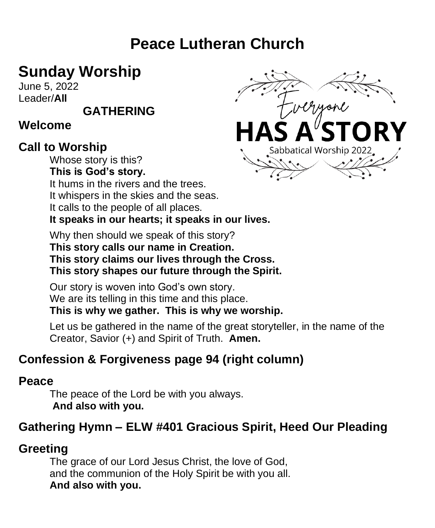# **Peace Lutheran Church**

# **Sunday Worship**

June 5, 2022 Leader/**All** 

**GATHERING**

#### **Welcome**

## **Call to Worship**

Whose story is this?

**This is God's story.**

It hums in the rivers and the trees.

It whispers in the skies and the seas.

It calls to the people of all places.

**It speaks in our hearts; it speaks in our lives.**

Why then should we speak of this story? **This story calls our name in Creation. This story claims our lives through the Cross. This story shapes our future through the Spirit.**

Our story is woven into God's own story. We are its telling in this time and this place.

**This is why we gather. This is why we worship.**

Let us be gathered in the name of the great storyteller, in the name of the Creator, Savior (+) and Spirit of Truth. **Amen.**

## **Confession & Forgiveness page 94 (right column)**

## **Peace**

The peace of the Lord be with you always. **And also with you.**

## **Gathering Hymn – ELW #401 Gracious Spirit, Heed Our Pleading**

# **Greeting**

The grace of our Lord Jesus Christ, the love of God, and the communion of the Holy Spirit be with you all. **And also with you.** 

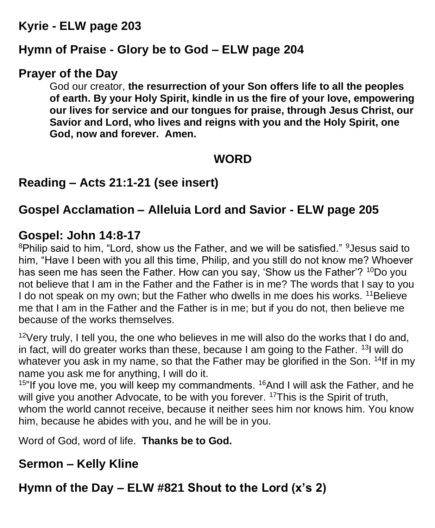### **Kyrie - ELW page 203**

#### **Hymn of Praise - Glory be to God – ELW page 204**

#### **Prayer of the Day**

God our creator, **the resurrection of your Son offers life to all the peoples of earth. By your Holy Spirit, kindle in us the fire of your love, empowering our lives for service and our tongues for praise, through Jesus Christ, our Savior and Lord, who lives and reigns with you and the Holy Spirit, one God, now and forever. Amen.**

## **WORD**

## **Reading – Acts 21:1-21 (see insert)**

## **Gospel Acclamation – Alleluia Lord and Savior - ELW page 205**

#### **Gospel: John 14:8-17**

<sup>8</sup>Philip said to him, "Lord, show us the Father, and we will be satisfied." <sup>9</sup>Jesus said to him, "Have I been with you all this time, Philip, and you still do not know me? Whoever has seen me has seen the Father. How can you say, 'Show us the Father'? <sup>10</sup>Do you not believe that I am in the Father and the Father is in me? The words that I say to you I do not speak on my own; but the Father who dwells in me does his works. <sup>11</sup>Believe me that I am in the Father and the Father is in me; but if you do not, then believe me because of the works themselves.

 $12$ Very truly, I tell you, the one who believes in me will also do the works that I do and, in fact, will do greater works than these, because I am going to the Father.  $131$  will do whatever you ask in my name, so that the Father may be glorified in the Son. <sup>14</sup>If in my name you ask me for anything, I will do it.

 $15$ "If you love me, you will keep my commandments.  $16$ And I will ask the Father, and he will give you another Advocate, to be with you forever. <sup>17</sup>This is the Spirit of truth, whom the world cannot receive, because it neither sees him nor knows him. You know him, because he abides with you, and he will be in you.

Word of God, word of life. **Thanks be to God.**

## **Sermon – Kelly Kline**

**Hymn of the Day – ELW #821 Shout to the Lord (x's 2)**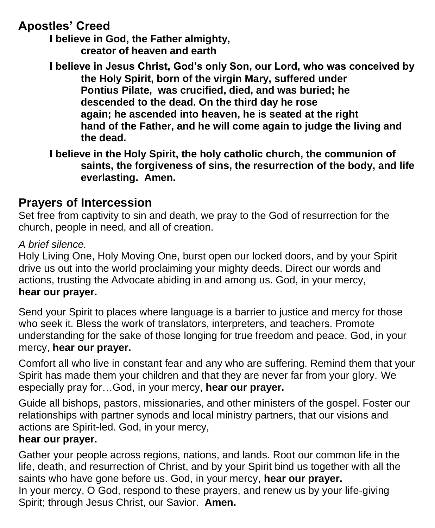### **Apostles' Creed**

**I believe in God, the Father almighty, creator of heaven and earth**

**I believe in Jesus Christ, God's only Son, our Lord, who was conceived by the Holy Spirit, born of the virgin Mary, suffered under Pontius Pilate, was crucified, died, and was buried; he descended to the dead. On the third day he rose again; he ascended into heaven, he is seated at the right hand of the Father, and he will come again to judge the living and the dead.**

**I believe in the Holy Spirit, the holy catholic church, the communion of saints, the forgiveness of sins, the resurrection of the body, and life everlasting. Amen.**

### **Prayers of Intercession**

Set free from captivity to sin and death, we pray to the God of resurrection for the church, people in need, and all of creation.

#### *A brief silence.*

Holy Living One, Holy Moving One, burst open our locked doors, and by your Spirit drive us out into the world proclaiming your mighty deeds. Direct our words and actions, trusting the Advocate abiding in and among us. God, in your mercy, **hear our prayer.**

Send your Spirit to places where language is a barrier to justice and mercy for those who seek it. Bless the work of translators, interpreters, and teachers. Promote understanding for the sake of those longing for true freedom and peace. God, in your mercy, **hear our prayer.**

Comfort all who live in constant fear and any who are suffering. Remind them that your Spirit has made them your children and that they are never far from your glory. We especially pray for…God, in your mercy, **hear our prayer.**

Guide all bishops, pastors, missionaries, and other ministers of the gospel. Foster our relationships with partner synods and local ministry partners, that our visions and actions are Spirit-led. God, in your mercy,

#### **hear our prayer.**

Gather your people across regions, nations, and lands. Root our common life in the life, death, and resurrection of Christ, and by your Spirit bind us together with all the saints who have gone before us. God, in your mercy, **hear our prayer.** In your mercy, O God, respond to these prayers, and renew us by your life-giving Spirit; through Jesus Christ, our Savior. **Amen.**